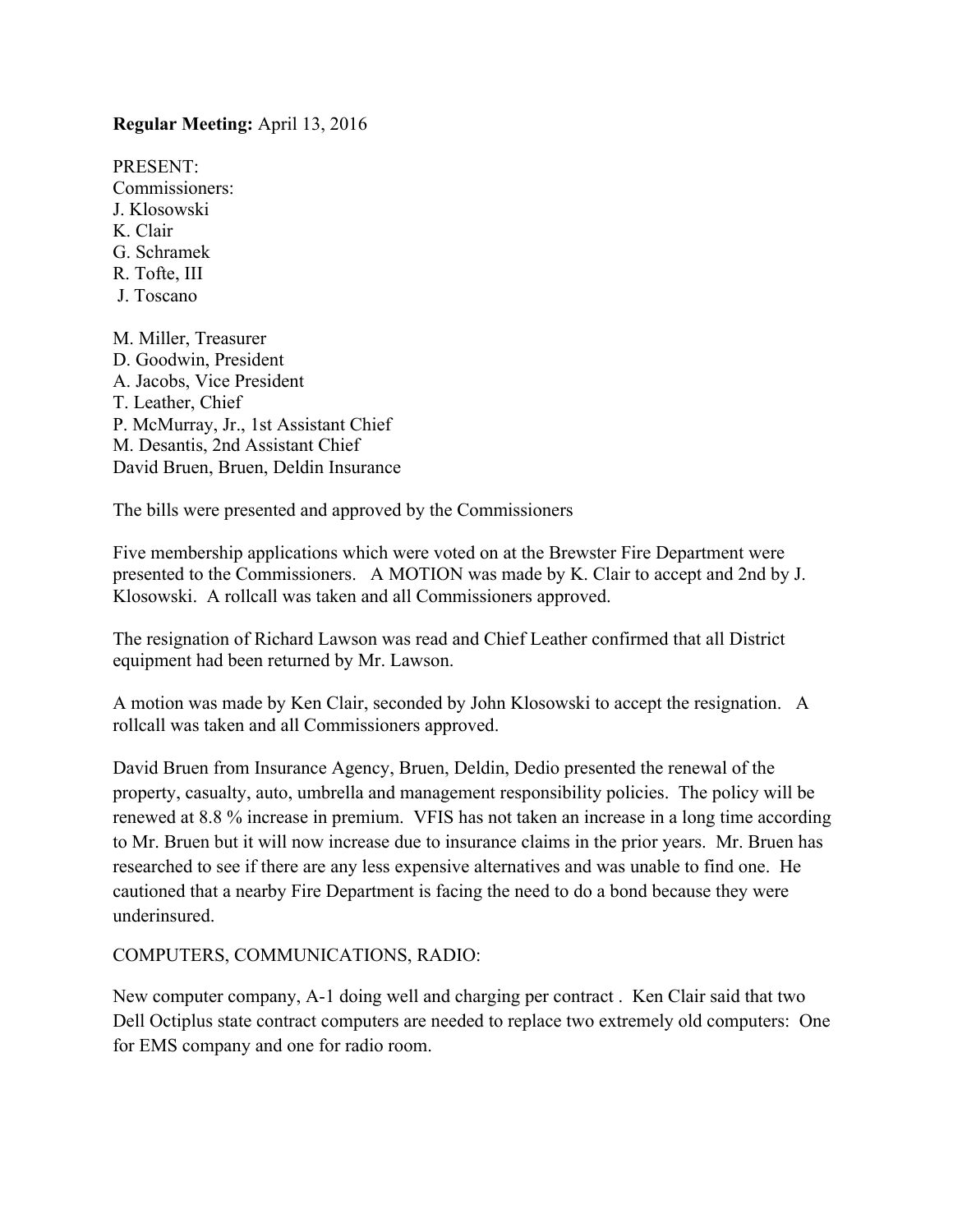#### **Regular Meeting:** April 13, 2016

PRESENT: Commissioners: J. Klosowski K. Clair G. Schramek R. Tofte, III J. Toscano M. Miller, Treasurer

D. Goodwin, President A. Jacobs, Vice President T. Leather, Chief P. McMurray, Jr., 1st Assistant Chief M. Desantis, 2nd Assistant Chief David Bruen, Bruen, Deldin Insurance

The bills were presented and approved by the Commissioners

Five membership applications which were voted on at the Brewster Fire Department were presented to the Commissioners. A MOTION was made by K. Clair to accept and 2nd by J. Klosowski. A rollcall was taken and all Commissioners approved.

The resignation of Richard Lawson was read and Chief Leather confirmed that all District equipment had been returned by Mr. Lawson.

A motion was made by Ken Clair, seconded by John Klosowski to accept the resignation. A rollcall was taken and all Commissioners approved.

David Bruen from Insurance Agency, Bruen, Deldin, Dedio presented the renewal of the property, casualty, auto, umbrella and management responsibility policies. The policy will be renewed at 8.8 % increase in premium. VFIS has not taken an increase in a long time according to Mr. Bruen but it will now increase due to insurance claims in the prior years. Mr. Bruen has researched to see if there are any less expensive alternatives and was unable to find one. He cautioned that a nearby Fire Department is facing the need to do a bond because they were underinsured.

#### COMPUTERS, COMMUNICATIONS, RADIO:

New computer company, A-1 doing well and charging per contract . Ken Clair said that two Dell Octiplus state contract computers are needed to replace two extremely old computers: One for EMS company and one for radio room.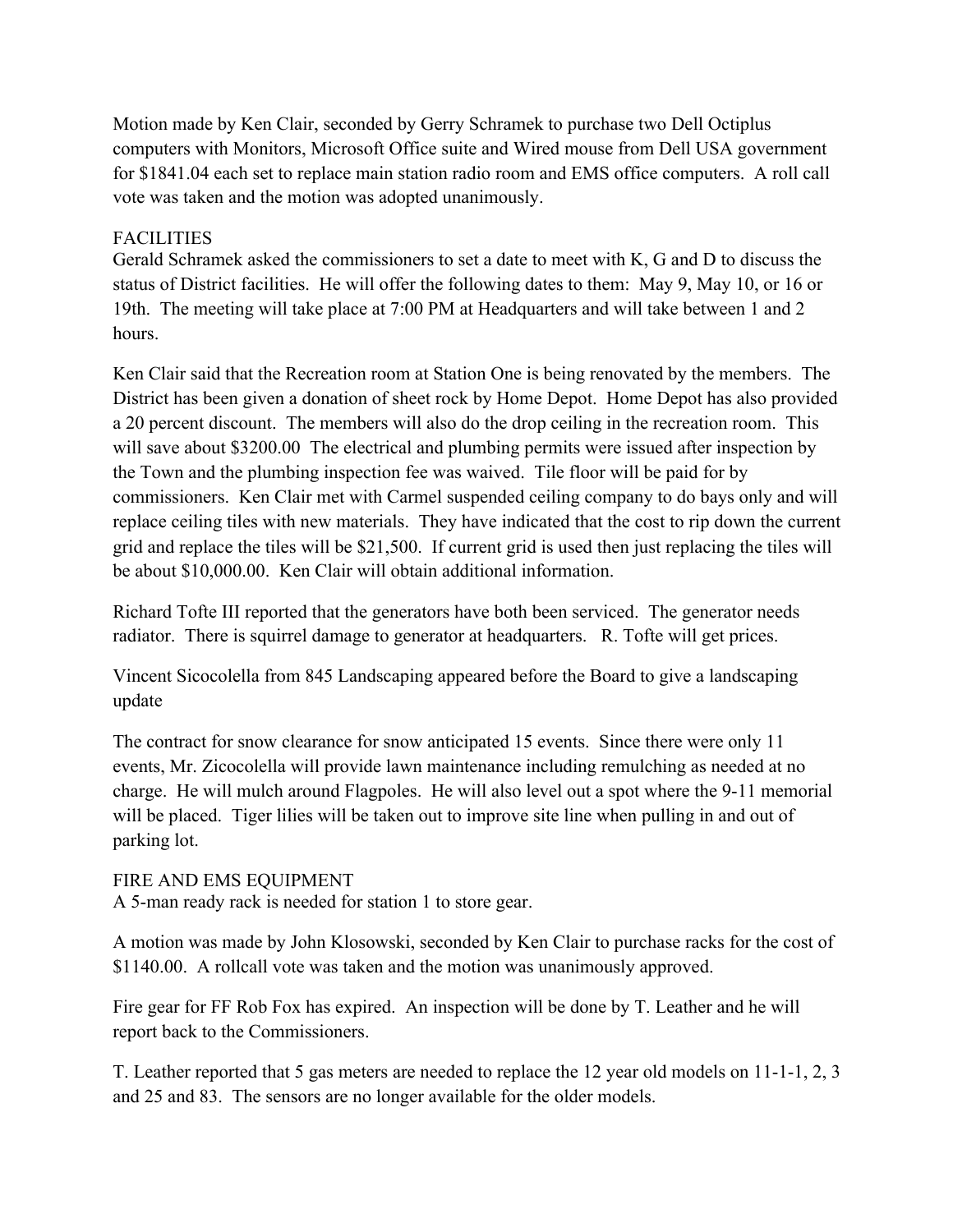Motion made by Ken Clair, seconded by Gerry Schramek to purchase two Dell Octiplus computers with Monitors, Microsoft Office suite and Wired mouse from Dell USA government for \$1841.04 each set to replace main station radio room and EMS office computers. A roll call vote was taken and the motion was adopted unanimously.

### **FACILITIES**

Gerald Schramek asked the commissioners to set a date to meet with K, G and D to discuss the status of District facilities. He will offer the following dates to them: May 9, May 10, or 16 or 19th. The meeting will take place at 7:00 PM at Headquarters and will take between 1 and 2 hours.

Ken Clair said that the Recreation room at Station One is being renovated by the members. The District has been given a donation of sheet rock by Home Depot. Home Depot has also provided a 20 percent discount. The members will also do the drop ceiling in the recreation room. This will save about \$3200.00 The electrical and plumbing permits were issued after inspection by the Town and the plumbing inspection fee was waived. Tile floor will be paid for by commissioners. Ken Clair met with Carmel suspended ceiling company to do bays only and will replace ceiling tiles with new materials. They have indicated that the cost to rip down the current grid and replace the tiles will be \$21,500. If current grid is used then just replacing the tiles will be about \$10,000.00. Ken Clair will obtain additional information.

Richard Tofte III reported that the generators have both been serviced. The generator needs radiator. There is squirrel damage to generator at headquarters. R. Tofte will get prices.

Vincent Sicocolella from 845 Landscaping appeared before the Board to give a landscaping update

The contract for snow clearance for snow anticipated 15 events. Since there were only 11 events, Mr. Zicocolella will provide lawn maintenance including remulching as needed at no charge. He will mulch around Flagpoles. He will also level out a spot where the 9-11 memorial will be placed. Tiger lilies will be taken out to improve site line when pulling in and out of parking lot.

# FIRE AND EMS EQUIPMENT

A 5-man ready rack is needed for station 1 to store gear.

A motion was made by John Klosowski, seconded by Ken Clair to purchase racks for the cost of \$1140.00. A rollcall vote was taken and the motion was unanimously approved.

Fire gear for FF Rob Fox has expired. An inspection will be done by T. Leather and he will report back to the Commissioners.

T. Leather reported that 5 gas meters are needed to replace the 12 year old models on 11-1-1, 2, 3 and 25 and 83. The sensors are no longer available for the older models.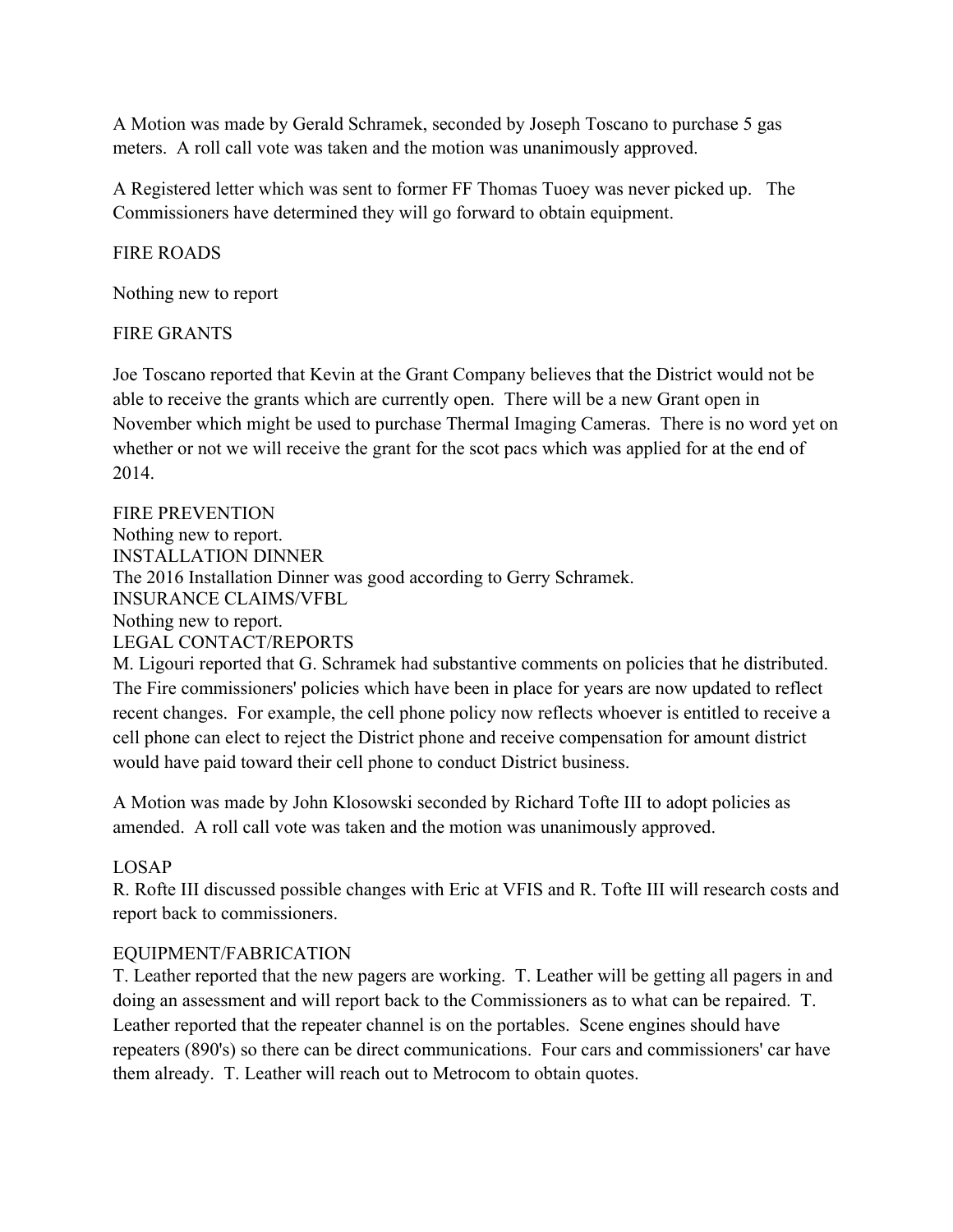A Motion was made by Gerald Schramek, seconded by Joseph Toscano to purchase 5 gas meters. A roll call vote was taken and the motion was unanimously approved.

A Registered letter which was sent to former FF Thomas Tuoey was never picked up. The Commissioners have determined they will go forward to obtain equipment.

### FIRE ROADS

Nothing new to report

## FIRE GRANTS

Joe Toscano reported that Kevin at the Grant Company believes that the District would not be able to receive the grants which are currently open. There will be a new Grant open in November which might be used to purchase Thermal Imaging Cameras. There is no word yet on whether or not we will receive the grant for the scot pacs which was applied for at the end of 2014.

# FIRE PREVENTION Nothing new to report. INSTALLATION DINNER The 2016 Installation Dinner was good according to Gerry Schramek. INSURANCE CLAIMS/VFBL Nothing new to report. LEGAL CONTACT/REPORTS M. Ligouri reported that G. Schramek had substantive comments on policies that he distributed.

The Fire commissioners' policies which have been in place for years are now updated to reflect recent changes. For example, the cell phone policy now reflects whoever is entitled to receive a cell phone can elect to reject the District phone and receive compensation for amount district would have paid toward their cell phone to conduct District business.

A Motion was made by John Klosowski seconded by Richard Tofte III to adopt policies as amended. A roll call vote was taken and the motion was unanimously approved.

# LOSAP

R. Rofte III discussed possible changes with Eric at VFIS and R. Tofte III will research costs and report back to commissioners.

# EQUIPMENT/FABRICATION

T. Leather reported that the new pagers are working. T. Leather will be getting all pagers in and doing an assessment and will report back to the Commissioners as to what can be repaired. T. Leather reported that the repeater channel is on the portables. Scene engines should have repeaters (890's) so there can be direct communications. Four cars and commissioners' car have them already. T. Leather will reach out to Metrocom to obtain quotes.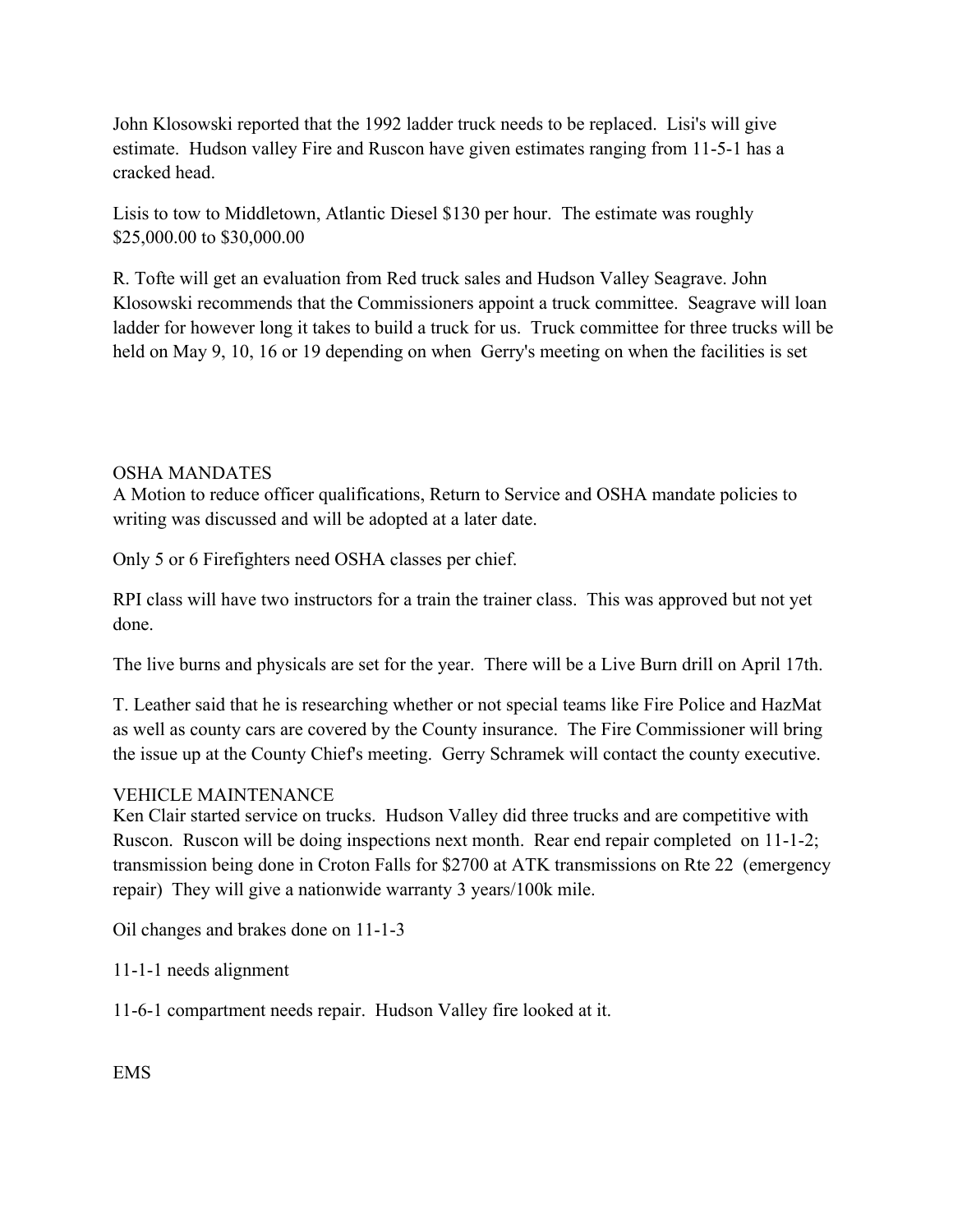John Klosowski reported that the 1992 ladder truck needs to be replaced. Lisi's will give estimate. Hudson valley Fire and Ruscon have given estimates ranging from 11-5-1 has a cracked head.

Lisis to tow to Middletown, Atlantic Diesel \$130 per hour. The estimate was roughly \$25,000.00 to \$30,000.00

R. Tofte will get an evaluation from Red truck sales and Hudson Valley Seagrave. John Klosowski recommends that the Commissioners appoint a truck committee. Seagrave will loan ladder for however long it takes to build a truck for us. Truck committee for three trucks will be held on May 9, 10, 16 or 19 depending on when Gerry's meeting on when the facilities is set

#### OSHA MANDATES

A Motion to reduce officer qualifications, Return to Service and OSHA mandate policies to writing was discussed and will be adopted at a later date.

Only 5 or 6 Firefighters need OSHA classes per chief.

RPI class will have two instructors for a train the trainer class. This was approved but not yet done.

The live burns and physicals are set for the year. There will be a Live Burn drill on April 17th.

T. Leather said that he is researching whether or not special teams like Fire Police and HazMat as well as county cars are covered by the County insurance. The Fire Commissioner will bring the issue up at the County Chief's meeting. Gerry Schramek will contact the county executive.

### VEHICLE MAINTENANCE

Ken Clair started service on trucks. Hudson Valley did three trucks and are competitive with Ruscon. Ruscon will be doing inspections next month. Rear end repair completed on 11-1-2; transmission being done in Croton Falls for \$2700 at ATK transmissions on Rte 22 (emergency repair) They will give a nationwide warranty 3 years/100k mile.

Oil changes and brakes done on 11-1-3

11-1-1 needs alignment

11-6-1 compartment needs repair. Hudson Valley fire looked at it.

EMS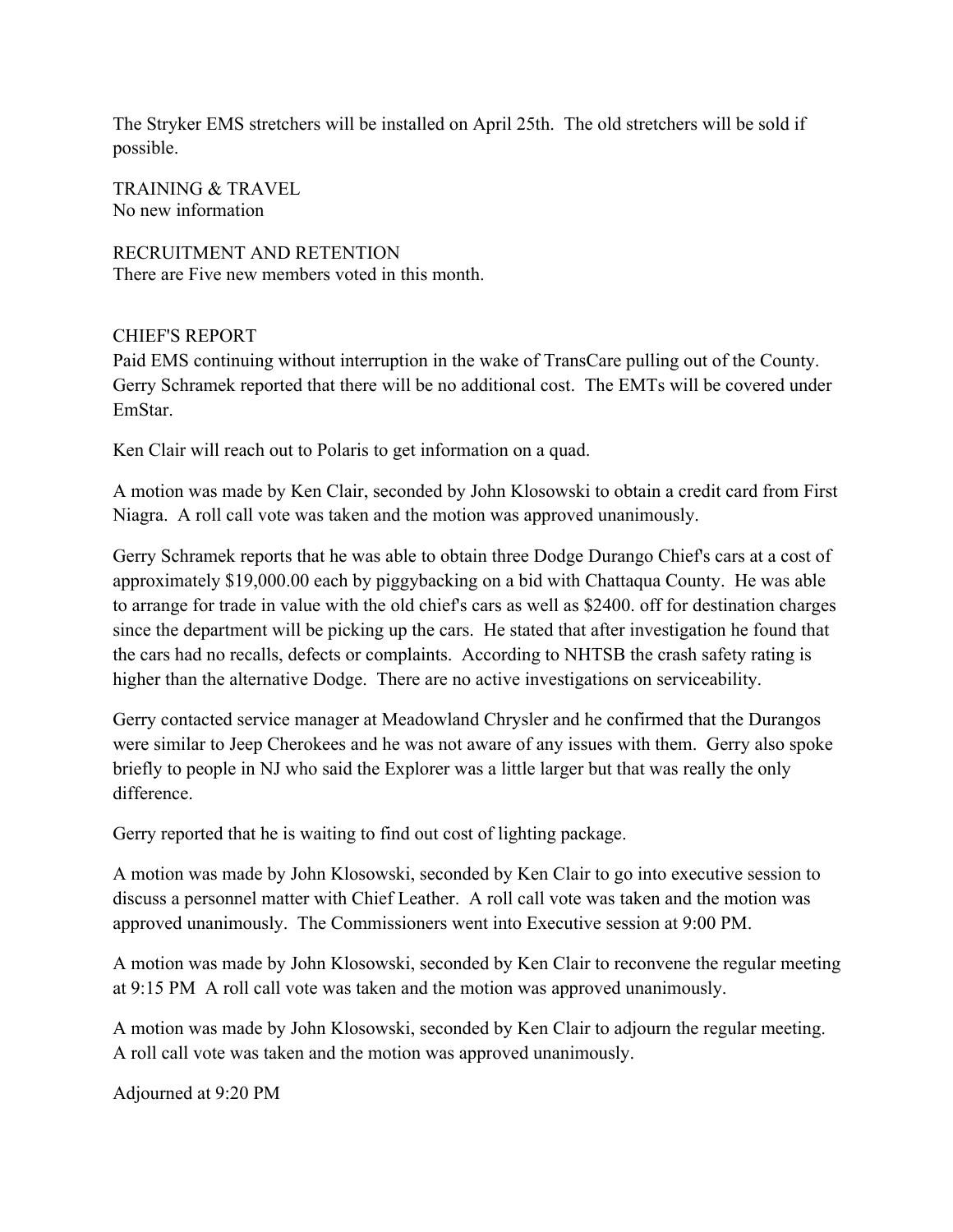The Stryker EMS stretchers will be installed on April 25th. The old stretchers will be sold if possible.

TRAINING & TRAVEL No new information

RECRUITMENT AND RETENTION There are Five new members voted in this month.

## CHIEF'S REPORT

Paid EMS continuing without interruption in the wake of TransCare pulling out of the County. Gerry Schramek reported that there will be no additional cost. The EMTs will be covered under EmStar.

Ken Clair will reach out to Polaris to get information on a quad.

A motion was made by Ken Clair, seconded by John Klosowski to obtain a credit card from First Niagra. A roll call vote was taken and the motion was approved unanimously.

Gerry Schramek reports that he was able to obtain three Dodge Durango Chief's cars at a cost of approximately \$19,000.00 each by piggybacking on a bid with Chattaqua County. He was able to arrange for trade in value with the old chief's cars as well as \$2400. off for destination charges since the department will be picking up the cars. He stated that after investigation he found that the cars had no recalls, defects or complaints. According to NHTSB the crash safety rating is higher than the alternative Dodge. There are no active investigations on serviceability.

Gerry contacted service manager at Meadowland Chrysler and he confirmed that the Durangos were similar to Jeep Cherokees and he was not aware of any issues with them. Gerry also spoke briefly to people in NJ who said the Explorer was a little larger but that was really the only difference.

Gerry reported that he is waiting to find out cost of lighting package.

A motion was made by John Klosowski, seconded by Ken Clair to go into executive session to discuss a personnel matter with Chief Leather. A roll call vote was taken and the motion was approved unanimously. The Commissioners went into Executive session at 9:00 PM.

A motion was made by John Klosowski, seconded by Ken Clair to reconvene the regular meeting at 9:15 PM A roll call vote was taken and the motion was approved unanimously.

A motion was made by John Klosowski, seconded by Ken Clair to adjourn the regular meeting. A roll call vote was taken and the motion was approved unanimously.

Adjourned at 9:20 PM